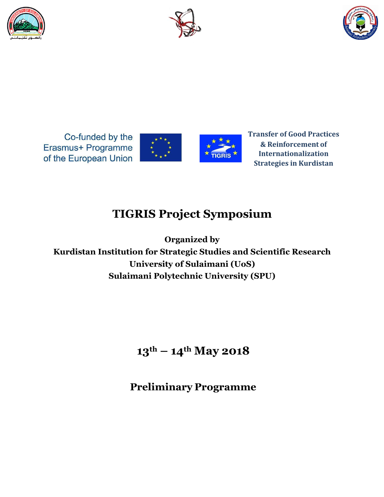





Co-funded by the Erasmus+ Programme of the European Union





**Transfer of Good Practices & Reinforcement of Internationalization Strategies in Kurdistan**

# **TIGRIS Project Symposium**

**Organized by Kurdistan Institution for Strategic Studies and Scientific Research University of Sulaimani (UoS) Sulaimani Polytechnic University (SPU)**

**13th – 14th May 2018**

**Preliminary Programme**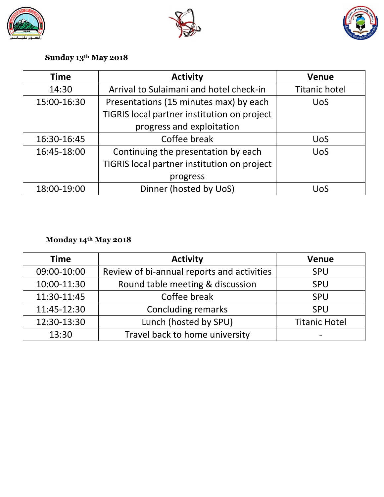





## **Sunday 13th May 2018**

| <b>Time</b> | <b>Activity</b>                             | <b>Venue</b>         |
|-------------|---------------------------------------------|----------------------|
| 14:30       | Arrival to Sulaimani and hotel check-in     | <b>Titanic hotel</b> |
| 15:00-16:30 | Presentations (15 minutes max) by each      | <b>UoS</b>           |
|             | TIGRIS local partner institution on project |                      |
|             | progress and exploitation                   |                      |
| 16:30-16:45 | Coffee break                                | <b>UoS</b>           |
| 16:45-18:00 | Continuing the presentation by each         | <b>UoS</b>           |
|             | TIGRIS local partner institution on project |                      |
|             | progress                                    |                      |
| 18:00-19:00 | Dinner (hosted by UoS)                      | UoS                  |

## **Monday 14th May 2018**

| <b>Time</b> | <b>Activity</b>                            | <b>Venue</b>         |
|-------------|--------------------------------------------|----------------------|
| 09:00-10:00 | Review of bi-annual reports and activities | <b>SPU</b>           |
| 10:00-11:30 | Round table meeting & discussion           | <b>SPU</b>           |
| 11:30-11:45 | Coffee break                               | <b>SPU</b>           |
| 11:45-12:30 | Concluding remarks                         | <b>SPU</b>           |
| 12:30-13:30 | Lunch (hosted by SPU)                      | <b>Titanic Hotel</b> |
| 13:30       | Travel back to home university             |                      |